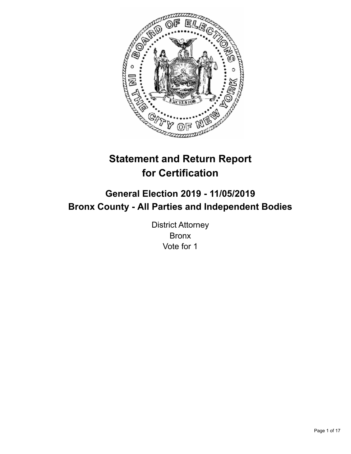

# **Statement and Return Report for Certification**

# **General Election 2019 - 11/05/2019 Bronx County - All Parties and Independent Bodies**

District Attorney Bronx Vote for 1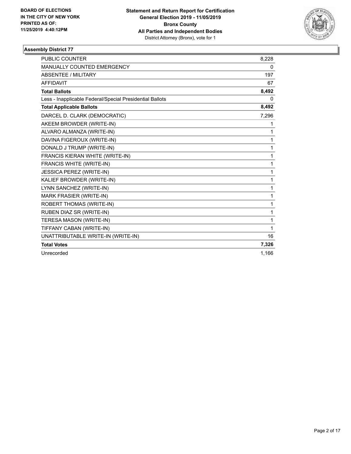

| <b>PUBLIC COUNTER</b>                                    | 8,228        |
|----------------------------------------------------------|--------------|
| MANUALLY COUNTED EMERGENCY                               | 0            |
| <b>ABSENTEE / MILITARY</b>                               | 197          |
| <b>AFFIDAVIT</b>                                         | 67           |
| <b>Total Ballots</b>                                     | 8,492        |
| Less - Inapplicable Federal/Special Presidential Ballots | 0            |
| <b>Total Applicable Ballots</b>                          | 8,492        |
| DARCEL D. CLARK (DEMOCRATIC)                             | 7,296        |
| AKEEM BROWDER (WRITE-IN)                                 | 1            |
| ALVARO ALMANZA (WRITE-IN)                                | 1            |
| DAVINA FIGEROUX (WRITE-IN)                               | 1            |
| DONALD J TRUMP (WRITE-IN)                                | 1            |
| FRANCIS KIERAN WHITE (WRITE-IN)                          | 1            |
| FRANCIS WHITE (WRITE-IN)                                 | 1            |
| JESSICA PEREZ (WRITE-IN)                                 | $\mathbf{1}$ |
| KALIEF BROWDER (WRITE-IN)                                | 1            |
| LYNN SANCHEZ (WRITE-IN)                                  | 1            |
| <b>MARK FRASIER (WRITE-IN)</b>                           | 1            |
| <b>ROBERT THOMAS (WRITE-IN)</b>                          | 1            |
| RUBEN DIAZ SR (WRITE-IN)                                 | 1            |
| TERESA MASON (WRITE-IN)                                  | 1            |
| TIFFANY CABAN (WRITE-IN)                                 | 1            |
| UNATTRIBUTABLE WRITE-IN (WRITE-IN)                       | 16           |
| <b>Total Votes</b>                                       | 7,326        |
| Unrecorded                                               | 1.166        |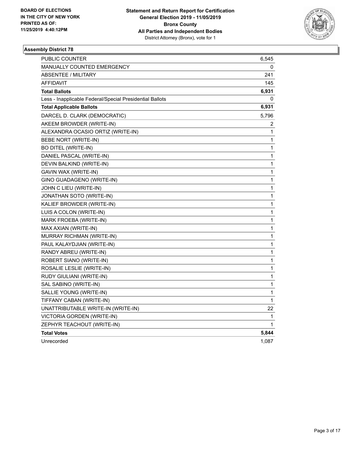

| PUBLIC COUNTER                                           | 6,545 |
|----------------------------------------------------------|-------|
| <b>MANUALLY COUNTED EMERGENCY</b>                        | 0     |
| <b>ABSENTEE / MILITARY</b>                               | 241   |
| <b>AFFIDAVIT</b>                                         | 145   |
| <b>Total Ballots</b>                                     | 6,931 |
| Less - Inapplicable Federal/Special Presidential Ballots | 0     |
| <b>Total Applicable Ballots</b>                          | 6,931 |
| DARCEL D. CLARK (DEMOCRATIC)                             | 5,796 |
| AKEEM BROWDER (WRITE-IN)                                 | 2     |
| ALEXANDRA OCASIO ORTIZ (WRITE-IN)                        | 1     |
| BEBE NORT (WRITE-IN)                                     | 1     |
| <b>BO DITEL (WRITE-IN)</b>                               | 1     |
| DANIEL PASCAL (WRITE-IN)                                 | 1     |
| DEVIN BALKIND (WRITE-IN)                                 | 1     |
| GAVIN WAX (WRITE-IN)                                     | 1     |
| GINO GUADAGENO (WRITE-IN)                                | 1     |
| JOHN C LIEU (WRITE-IN)                                   | 1     |
| JONATHAN SOTO (WRITE-IN)                                 | 1     |
| KALIEF BROWDER (WRITE-IN)                                | 1     |
| LUIS A COLON (WRITE-IN)                                  | 1     |
| MARK FROEBA (WRITE-IN)                                   | 1     |
| MAX AXIAN (WRITE-IN)                                     | 1     |
| MURRAY RICHMAN (WRITE-IN)                                | 1     |
| PAUL KALAYDJIAN (WRITE-IN)                               | 1     |
| RANDY ABREU (WRITE-IN)                                   | 1     |
| ROBERT SIANO (WRITE-IN)                                  | 1     |
| ROSALIE LESLIE (WRITE-IN)                                | 1     |
| RUDY GIULIANI (WRITE-IN)                                 | 1     |
| SAL SABINO (WRITE-IN)                                    | 1     |
| SALLIE YOUNG (WRITE-IN)                                  | 1     |
| TIFFANY CABAN (WRITE-IN)                                 | 1     |
| UNATTRIBUTABLE WRITE-IN (WRITE-IN)                       | 22    |
| VICTORIA GORDEN (WRITE-IN)                               | 1     |
| ZEPHYR TEACHOUT (WRITE-IN)                               | 1     |
| <b>Total Votes</b>                                       | 5,844 |
| Unrecorded                                               | 1,087 |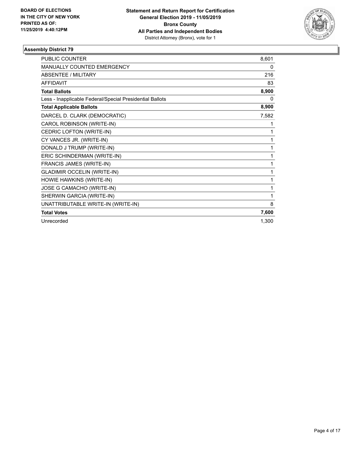

| PUBLIC COUNTER                                           | 8,601 |
|----------------------------------------------------------|-------|
| <b>MANUALLY COUNTED EMERGENCY</b>                        | 0     |
| <b>ABSENTEE / MILITARY</b>                               | 216   |
| <b>AFFIDAVIT</b>                                         | 83    |
| <b>Total Ballots</b>                                     | 8,900 |
| Less - Inapplicable Federal/Special Presidential Ballots | 0     |
| <b>Total Applicable Ballots</b>                          | 8,900 |
| DARCEL D. CLARK (DEMOCRATIC)                             | 7,582 |
| CAROL ROBINSON (WRITE-IN)                                | 1     |
| CEDRIC LOFTON (WRITE-IN)                                 | 1     |
| CY VANCES JR. (WRITE-IN)                                 | 1     |
| DONALD J TRUMP (WRITE-IN)                                | 1     |
| ERIC SCHINDERMAN (WRITE-IN)                              | 1     |
| FRANCIS JAMES (WRITE-IN)                                 | 1     |
| <b>GLADIMIR OCCELIN (WRITE-IN)</b>                       | 1     |
| HOWIE HAWKINS (WRITE-IN)                                 | 1     |
| JOSE G CAMACHO (WRITE-IN)                                | 1     |
| SHERWIN GARCIA (WRITE-IN)                                | 1     |
| UNATTRIBUTABLE WRITE-IN (WRITE-IN)                       | 8     |
| <b>Total Votes</b>                                       | 7,600 |
| Unrecorded                                               | 1,300 |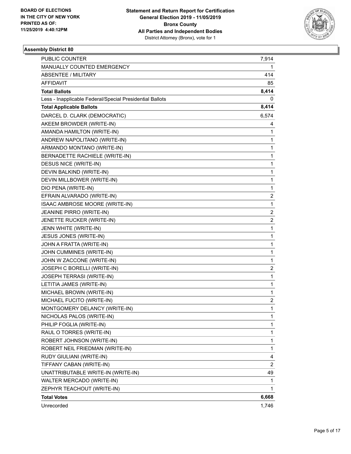

| <b>PUBLIC COUNTER</b>                                    | 7,914                   |
|----------------------------------------------------------|-------------------------|
| MANUALLY COUNTED EMERGENCY                               | 1                       |
| <b>ABSENTEE / MILITARY</b>                               | 414                     |
| AFFIDAVIT                                                | 85                      |
| <b>Total Ballots</b>                                     | 8,414                   |
| Less - Inapplicable Federal/Special Presidential Ballots | 0                       |
| <b>Total Applicable Ballots</b>                          | 8,414                   |
| DARCEL D. CLARK (DEMOCRATIC)                             | 6,574                   |
| AKEEM BROWDER (WRITE-IN)                                 | 4                       |
| AMANDA HAMILTON (WRITE-IN)                               | 1                       |
| ANDREW NAPOLITANO (WRITE-IN)                             | 1                       |
| ARMANDO MONTANO (WRITE-IN)                               | 1                       |
| BERNADETTE RACHIELE (WRITE-IN)                           | 1                       |
| DESUS NICE (WRITE-IN)                                    | 1                       |
| DEVIN BALKIND (WRITE-IN)                                 | 1                       |
| DEVIN MILLBOWER (WRITE-IN)                               | 1                       |
| DIO PENA (WRITE-IN)                                      | 1                       |
| EFRAIN ALVARADO (WRITE-IN)                               | 2                       |
| ISAAC AMBROSE MOORE (WRITE-IN)                           | 1                       |
| JEANINE PIRRO (WRITE-IN)                                 | $\overline{\mathbf{c}}$ |
| JENETTE RUCKER (WRITE-IN)                                | $\overline{2}$          |
| JENN WHITE (WRITE-IN)                                    | 1                       |
| JESUS JONES (WRITE-IN)                                   | 1                       |
| JOHN A FRATTA (WRITE-IN)                                 | 1                       |
| JOHN CUMMINES (WRITE-IN)                                 | 1                       |
| JOHN W ZACCONE (WRITE-IN)                                | 1                       |
| JOSEPH C BORELLI (WRITE-IN)                              | 2                       |
| JOSEPH TERRASI (WRITE-IN)                                | 1                       |
| LETITIA JAMES (WRITE-IN)                                 | 1                       |
| MICHAEL BROWN (WRITE-IN)                                 | 1                       |
| MICHAEL FUCITO (WRITE-IN)                                | 2                       |
| MONTGOMERY DELANCY (WRITE-IN)                            | $\mathbf{1}$            |
| NICHOLAS PALOS (WRITE-IN)                                | 1                       |
| PHILIP FOGLIA (WRITE-IN)                                 | 1                       |
| RAUL O TORRES (WRITE-IN)                                 | 1                       |
| ROBERT JOHNSON (WRITE-IN)                                | 1                       |
| ROBERT NEIL FRIEDMAN (WRITE-IN)                          | 1                       |
| RUDY GIULIANI (WRITE-IN)                                 | 4                       |
| TIFFANY CABAN (WRITE-IN)                                 | $\overline{2}$          |
| UNATTRIBUTABLE WRITE-IN (WRITE-IN)                       | 49                      |
| WALTER MERCADO (WRITE-IN)                                | 1                       |
| ZEPHYR TEACHOUT (WRITE-IN)                               | 1                       |
| <b>Total Votes</b>                                       | 6,668                   |
| Unrecorded                                               | 1,746                   |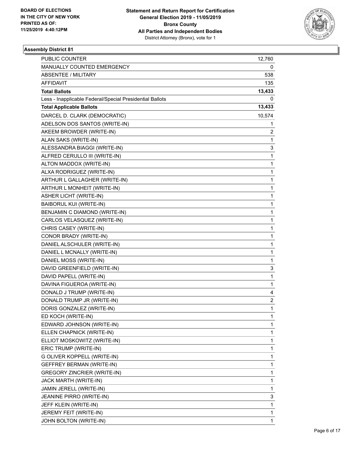

| <b>PUBLIC COUNTER</b>                                    | 12,760                  |
|----------------------------------------------------------|-------------------------|
| MANUALLY COUNTED EMERGENCY                               | 0                       |
| <b>ABSENTEE / MILITARY</b>                               | 538                     |
| AFFIDAVIT                                                | 135                     |
| <b>Total Ballots</b>                                     | 13,433                  |
| Less - Inapplicable Federal/Special Presidential Ballots | 0                       |
| <b>Total Applicable Ballots</b>                          | 13,433                  |
| DARCEL D. CLARK (DEMOCRATIC)                             | 10,574                  |
| ADELSON DOS SANTOS (WRITE-IN)                            | 1                       |
| AKEEM BROWDER (WRITE-IN)                                 | 2                       |
| ALAN SAKS (WRITE-IN)                                     | 1                       |
| ALESSANDRA BIAGGI (WRITE-IN)                             | 3                       |
| ALFRED CERULLO III (WRITE-IN)                            | 1                       |
| ALTON MADDOX (WRITE-IN)                                  | 1                       |
| ALXA RODRIGUEZ (WRITE-IN)                                | 1                       |
| ARTHUR L GALLAGHER (WRITE-IN)                            | 1                       |
| ARTHUR L MONHEIT (WRITE-IN)                              | 1                       |
| <b>ASHER LICHT (WRITE-IN)</b>                            | 1                       |
| BAIBORUL KUI (WRITE-IN)                                  | 1                       |
| BENJAMIN C DIAMOND (WRITE-IN)                            | 1                       |
| CARLOS VELASQUEZ (WRITE-IN)                              | 1                       |
| CHRIS CASEY (WRITE-IN)                                   | 1                       |
| CONOR BRADY (WRITE-IN)                                   | 1                       |
| DANIEL ALSCHULER (WRITE-IN)                              | 1                       |
| DANIEL L MCNALLY (WRITE-IN)                              | 1                       |
| DANIEL MOSS (WRITE-IN)                                   | 1                       |
| DAVID GREENFIELD (WRITE-IN)                              | 3                       |
| DAVID PAPELL (WRITE-IN)                                  | 1                       |
| DAVINA FIGUEROA (WRITE-IN)                               | 1                       |
| DONALD J TRUMP (WRITE-IN)                                | 4                       |
| DONALD TRUMP JR (WRITE-IN)                               | $\overline{\mathbf{c}}$ |
| DORIS GONZALEZ (WRITE-IN)                                | 1                       |
| ED KOCH (WRITE-IN)                                       | 1                       |
| EDWARD JOHNSON (WRITE-IN)                                | 1                       |
| ELLEN CHAPNICK (WRITE-IN)                                | 1                       |
| ELLIOT MOSKOWITZ (WRITE-IN)                              | 1                       |
| ERIC TRUMP (WRITE-IN)                                    | 1                       |
| G OLIVER KOPPELL (WRITE-IN)                              | 1                       |
| GEFFREY BERMAN (WRITE-IN)                                | 1                       |
| <b>GREGORY ZINCRIER (WRITE-IN)</b>                       | 1                       |
| JACK MARTH (WRITE-IN)                                    | 1                       |
| JAMIN JERELL (WRITE-IN)                                  | 1                       |
| JEANINE PIRRO (WRITE-IN)                                 | 3                       |
| JEFF KLEIN (WRITE-IN)                                    | 1                       |
| JEREMY FEIT (WRITE-IN)                                   | 1                       |
| JOHN BOLTON (WRITE-IN)                                   | 1                       |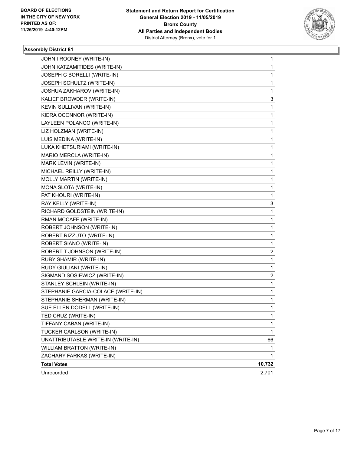

| JOHN I ROONEY (WRITE-IN)           | 1           |
|------------------------------------|-------------|
| JOHN KATZAMITIDES (WRITE-IN)       | 1           |
| JOSEPH C BORELLI (WRITE-IN)        | 1           |
| JOSEPH SCHULTZ (WRITE-IN)          | 1           |
| JOSHUA ZAKHAROV (WRITE-IN)         | 1           |
| KALIEF BROWDER (WRITE-IN)          | 3           |
| KEVIN SULLIVAN (WRITE-IN)          | 1           |
| KIERA OCONNOR (WRITE-IN)           | 1           |
| LAYLEEN POLANCO (WRITE-IN)         | 1           |
| LIZ HOLZMAN (WRITE-IN)             | 1           |
| LUIS MEDINA (WRITE-IN)             | 1           |
| LUKA KHETSURIAMI (WRITE-IN)        | 1           |
| MARIO MERCLA (WRITE-IN)            | 1           |
| MARK LEVIN (WRITE-IN)              | 1           |
| MICHAEL REILLY (WRITE-IN)          | 1           |
| MOLLY MARTIN (WRITE-IN)            | 1           |
| MONA SLOTA (WRITE-IN)              | 1           |
| PAT KHOURI (WRITE-IN)              | 1           |
| RAY KELLY (WRITE-IN)               | 3           |
| RICHARD GOLDSTEIN (WRITE-IN)       | 1           |
| RMAN MCCAFE (WRITE-IN)             | 1           |
| ROBERT JOHNSON (WRITE-IN)          | 1           |
| ROBERT RIZZUTO (WRITE-IN)          | 1           |
| ROBERT SIANO (WRITE-IN)            | 1           |
| ROBERT T JOHNSON (WRITE-IN)        | 2           |
| RUBY SHAMIR (WRITE-IN)             | 1           |
| RUDY GIULIANI (WRITE-IN)           | 1           |
| SIGMAND SOSIEWICZ (WRITE-IN)       | 2           |
| STANLEY SCHLEIN (WRITE-IN)         | 1           |
| STEPHANIE GARCIA-COLACE (WRITE-IN) | 1           |
| STEPHANIE SHERMAN (WRITE-IN)       | 1           |
| SUE ELLEN DODELL (WRITE-IN)        | 1           |
| TED CRUZ (WRITE-IN)                | 1           |
| TIFFANY CABAN (WRITE-IN)           | 1           |
| TUCKER CARLSON (WRITE-IN)          | $\mathbf 1$ |
| UNATTRIBUTABLE WRITE-IN (WRITE-IN) | 66          |
| WILLIAM BRATTON (WRITE-IN)         | 1           |
| ZACHARY FARKAS (WRITE-IN)          | 1           |
| <b>Total Votes</b>                 | 10,732      |
| Unrecorded                         | 2,701       |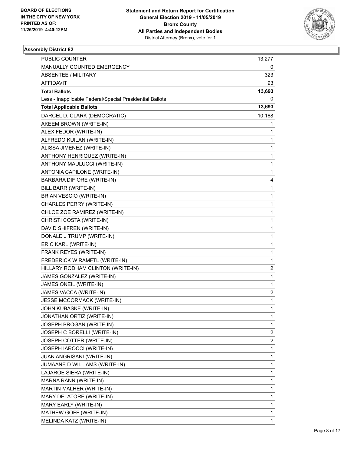

| PUBLIC COUNTER                                           | 13,277       |
|----------------------------------------------------------|--------------|
| MANUALLY COUNTED EMERGENCY                               | 0            |
| <b>ABSENTEE / MILITARY</b>                               | 323          |
| AFFIDAVIT                                                | 93           |
| <b>Total Ballots</b>                                     | 13,693       |
| Less - Inapplicable Federal/Special Presidential Ballots | 0            |
| <b>Total Applicable Ballots</b>                          | 13,693       |
| DARCEL D. CLARK (DEMOCRATIC)                             | 10,168       |
| AKEEM BROWN (WRITE-IN)                                   | 1            |
| ALEX FEDOR (WRITE-IN)                                    | 1            |
| ALFREDO KUILAN (WRITE-IN)                                | 1            |
| ALISSA JIMENEZ (WRITE-IN)                                | 1            |
| ANTHONY HENRIQUEZ (WRITE-IN)                             | $\mathbf{1}$ |
| ANTHONY MAULUCCI (WRITE-IN)                              | 1            |
| ANTONIA CAPILONE (WRITE-IN)                              | $\mathbf{1}$ |
| BARBARA DIFIORE (WRITE-IN)                               | 4            |
| BILL BARR (WRITE-IN)                                     | 1            |
| <b>BRIAN VESCIO (WRITE-IN)</b>                           | $\mathbf{1}$ |
| CHARLES PERRY (WRITE-IN)                                 | $\mathbf{1}$ |
| CHLOE ZOE RAMIREZ (WRITE-IN)                             | 1            |
| CHRISTI COSTA (WRITE-IN)                                 | $\mathbf{1}$ |
| DAVID SHIFREN (WRITE-IN)                                 | 1            |
| DONALD J TRUMP (WRITE-IN)                                | 1            |
| ERIC KARL (WRITE-IN)                                     | $\mathbf{1}$ |
| FRANK REYES (WRITE-IN)                                   | $\mathbf{1}$ |
| FREDERICK W RAMFTL (WRITE-IN)                            | 1            |
| HILLARY RODHAM CLINTON (WRITE-IN)                        | 2            |
| JAMES GONZALEZ (WRITE-IN)                                | 1            |
| JAMES ONEIL (WRITE-IN)                                   | 1            |
| JAMES VACCA (WRITE-IN)                                   | 2            |
| JESSE MCCORMACK (WRITE-IN)                               | 1            |
| JOHN KUBASKE (WRITE-IN)                                  | 1            |
| JONATHAN ORTIZ (WRITE-IN)                                | 1            |
| JOSEPH BROGAN (WRITE-IN)                                 | 1            |
| JOSEPH C BORELLI (WRITE-IN)                              | 2            |
| JOSEPH COTTER (WRITE-IN)                                 | 2            |
| JOSEPH IAROCCI (WRITE-IN)                                | $\mathbf 1$  |
| JUAN ANGRISANI (WRITE-IN)                                | 1            |
| JUMAANE D WILLIAMS (WRITE-IN)                            | 1            |
| LAJAROE SIERA (WRITE-IN)                                 | 1            |
| MARNA RANN (WRITE-IN)                                    | 1            |
| MARTIN MALHER (WRITE-IN)                                 | $\mathbf 1$  |
| MARY DELATORE (WRITE-IN)                                 | 1            |
| MARY EARLY (WRITE-IN)                                    | 1            |
| MATHEW GOFF (WRITE-IN)                                   | 1            |
| MELINDA KATZ (WRITE-IN)                                  | $\mathbf 1$  |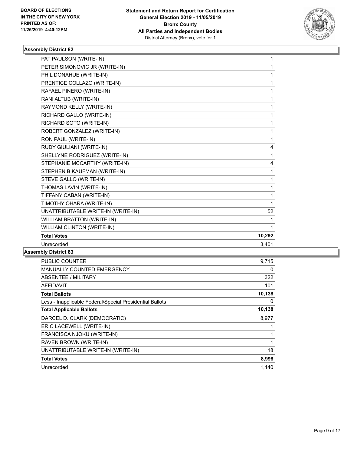

| PAT PAULSON (WRITE-IN)             | 1      |
|------------------------------------|--------|
| PETER SIMONOVIC JR (WRITE-IN)      | 1      |
| PHIL DONAHUE (WRITE-IN)            | 1      |
| PRENTICE COLLAZO (WRITE-IN)        | 1      |
| RAFAEL PINERO (WRITE-IN)           | 1      |
| RANI ALTUB (WRITE-IN)              | 1      |
| RAYMOND KELLY (WRITE-IN)           | 1      |
| RICHARD GALLO (WRITE-IN)           | 1      |
| RICHARD SOTO (WRITE-IN)            | 1      |
| ROBERT GONZALEZ (WRITE-IN)         | 1      |
| RON PAUL (WRITE-IN)                | 1      |
| RUDY GIULIANI (WRITE-IN)           | 4      |
| SHELLYNE RODRIGUEZ (WRITE-IN)      | 1      |
| STEPHANIE MCCARTHY (WRITE-IN)      | 4      |
| STEPHEN B KAUFMAN (WRITE-IN)       | 1      |
| STEVE GALLO (WRITE-IN)             | 1      |
| THOMAS LAVIN (WRITE-IN)            | 1      |
| TIFFANY CABAN (WRITE-IN)           | 1      |
| TIMOTHY OHARA (WRITE-IN)           | 1      |
| UNATTRIBUTABLE WRITE-IN (WRITE-IN) | 52     |
| <b>WILLIAM BRATTON (WRITE-IN)</b>  | 1      |
| WILLIAM CLINTON (WRITE-IN)         | 1      |
| <b>Total Votes</b>                 | 10,292 |
| Unrecorded                         | 3,401  |

| <b>PUBLIC COUNTER</b>                                    | 9,715  |
|----------------------------------------------------------|--------|
| <b>MANUALLY COUNTED EMERGENCY</b>                        | 0      |
| ABSENTEE / MILITARY                                      | 322    |
| <b>AFFIDAVIT</b>                                         | 101    |
| <b>Total Ballots</b>                                     | 10,138 |
| Less - Inapplicable Federal/Special Presidential Ballots | 0      |
| <b>Total Applicable Ballots</b>                          | 10,138 |
| DARCEL D. CLARK (DEMOCRATIC)                             | 8,977  |
| ERIC LACEWELL (WRITE-IN)                                 |        |
| FRANCISCA NJOKU (WRITE-IN)                               | 1      |
| RAVEN BROWN (WRITE-IN)                                   | 1      |
| UNATTRIBUTABLE WRITE-IN (WRITE-IN)                       | 18     |
| <b>Total Votes</b>                                       | 8,998  |
| Unrecorded                                               | 1.140  |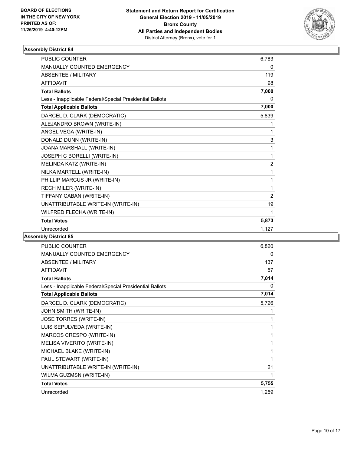

| <b>PUBLIC COUNTER</b>                                    | 6,783          |
|----------------------------------------------------------|----------------|
| <b>MANUALLY COUNTED EMERGENCY</b>                        | 0              |
| <b>ABSENTEE / MILITARY</b>                               | 119            |
| <b>AFFIDAVIT</b>                                         | 98             |
| <b>Total Ballots</b>                                     | 7,000          |
| Less - Inapplicable Federal/Special Presidential Ballots | 0              |
| <b>Total Applicable Ballots</b>                          | 7,000          |
| DARCEL D. CLARK (DEMOCRATIC)                             | 5,839          |
| ALEJANDRO BROWN (WRITE-IN)                               | 1              |
| ANGEL VEGA (WRITE-IN)                                    | 1              |
| DONALD DUNN (WRITE-IN)                                   | 3              |
| JOANA MARSHALL (WRITE-IN)                                | 1              |
| JOSEPH C BORELLI (WRITE-IN)                              | 1              |
| MELINDA KATZ (WRITE-IN)                                  | $\overline{2}$ |
| NILKA MARTELL (WRITE-IN)                                 | 1              |
| PHILLIP MARCUS JR (WRITE-IN)                             | 1              |
| RECH MILER (WRITE-IN)                                    | 1              |
| TIFFANY CABAN (WRITE-IN)                                 | $\overline{2}$ |
| UNATTRIBUTABLE WRITE-IN (WRITE-IN)                       | 19             |
| WILFRED FLECHA (WRITE-IN)                                | 1              |
| <b>Total Votes</b>                                       | 5,873          |
| Unrecorded                                               | 1,127          |
|                                                          |                |

| <b>PUBLIC COUNTER</b>                                    | 6,820 |
|----------------------------------------------------------|-------|
| <b>MANUALLY COUNTED EMERGENCY</b>                        | 0     |
| <b>ABSENTEE / MILITARY</b>                               | 137   |
| <b>AFFIDAVIT</b>                                         | 57    |
| <b>Total Ballots</b>                                     | 7,014 |
| Less - Inapplicable Federal/Special Presidential Ballots | 0     |
| <b>Total Applicable Ballots</b>                          | 7,014 |
| DARCEL D. CLARK (DEMOCRATIC)                             | 5,726 |
| JOHN SMITH (WRITE-IN)                                    | 1     |
| JOSE TORRES (WRITE-IN)                                   | 1     |
| LUIS SEPULVEDA (WRITE-IN)                                | 1     |
| MARCOS CRESPO (WRITE-IN)                                 | 1     |
| MELISA VIVERITO (WRITE-IN)                               | 1     |
| MICHAEL BLAKE (WRITE-IN)                                 | 1     |
| PAUL STEWART (WRITE-IN)                                  | 1     |
| UNATTRIBUTABLE WRITE-IN (WRITE-IN)                       | 21    |
| WILMA GUZMSN (WRITE-IN)                                  | 1     |
| <b>Total Votes</b>                                       | 5,755 |
| Unrecorded                                               | 1,259 |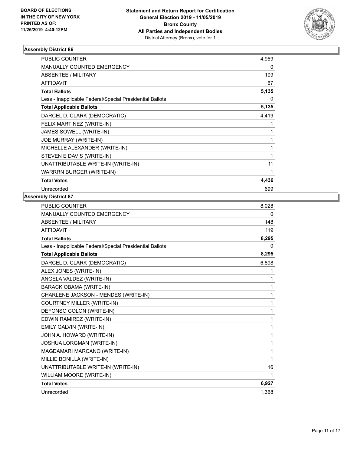

| PUBLIC COUNTER                                           | 4,959 |
|----------------------------------------------------------|-------|
| <b>MANUALLY COUNTED EMERGENCY</b>                        | 0     |
| ABSENTEE / MILITARY                                      | 109   |
| <b>AFFIDAVIT</b>                                         | 67    |
| <b>Total Ballots</b>                                     | 5,135 |
| Less - Inapplicable Federal/Special Presidential Ballots | 0     |
| <b>Total Applicable Ballots</b>                          | 5,135 |
| DARCEL D. CLARK (DEMOCRATIC)                             | 4,419 |
| FELIX MARTINEZ (WRITE-IN)                                |       |
| JAMES SOWELL (WRITE-IN)                                  | 1     |
| JOE MURRAY (WRITE-IN)                                    | 1     |
| MICHELLE ALEXANDER (WRITE-IN)                            | 1     |
| STEVEN E DAVIS (WRITE-IN)                                | 1     |
| UNATTRIBUTABLE WRITE-IN (WRITE-IN)                       | 11    |
| WARRRN BURGER (WRITE-IN)                                 | 1     |
| <b>Total Votes</b>                                       | 4,436 |
| Unrecorded                                               | 699   |

| <b>PUBLIC COUNTER</b>                                    | 8,028 |
|----------------------------------------------------------|-------|
| MANUALLY COUNTED EMERGENCY                               | 0     |
| <b>ABSENTEE / MILITARY</b>                               | 148   |
| <b>AFFIDAVIT</b>                                         | 119   |
| <b>Total Ballots</b>                                     | 8,295 |
| Less - Inapplicable Federal/Special Presidential Ballots | 0     |
| <b>Total Applicable Ballots</b>                          | 8,295 |
| DARCEL D. CLARK (DEMOCRATIC)                             | 6,898 |
| ALEX JONES (WRITE-IN)                                    | 1     |
| ANGELA VALDEZ (WRITE-IN)                                 | 1     |
| BARACK OBAMA (WRITE-IN)                                  | 1     |
| CHARLENE JACKSON - MENDES (WRITE-IN)                     | 1     |
| <b>COURTNEY MILLER (WRITE-IN)</b>                        | 1     |
| DEFONSO COLON (WRITE-IN)                                 | 1     |
| EDWIN RAMIREZ (WRITE-IN)                                 | 1     |
| EMILY GALVIN (WRITE-IN)                                  | 1     |
| JOHN A. HOWARD (WRITE-IN)                                | 1     |
| JOSHUA LORGMAN (WRITE-IN)                                | 1     |
| MAGDAMARI MARCANO (WRITE-IN)                             | 1     |
| MILLIE BONILLA (WRITE-IN)                                | 1     |
| UNATTRIBUTABLE WRITE-IN (WRITE-IN)                       | 16    |
| WILLIAM MOORE (WRITE-IN)                                 | 1     |
| <b>Total Votes</b>                                       | 6,927 |
| Unrecorded                                               | 1,368 |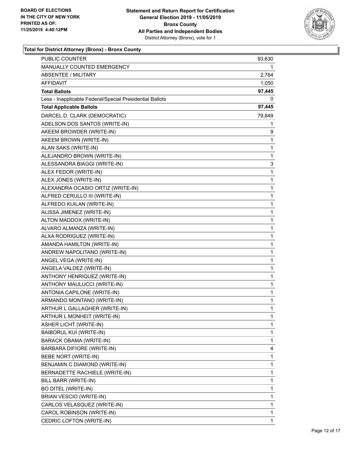

| <b>PUBLIC COUNTER</b>                                    | 93,630       |
|----------------------------------------------------------|--------------|
| MANUALLY COUNTED EMERGENCY                               | 1            |
| <b>ABSENTEE / MILITARY</b>                               | 2,764        |
| AFFIDAVIT                                                | 1,050        |
| <b>Total Ballots</b>                                     | 97,445       |
| Less - Inapplicable Federal/Special Presidential Ballots | 0            |
| <b>Total Applicable Ballots</b>                          | 97,445       |
| DARCEL D. CLARK (DEMOCRATIC)                             | 79,849       |
| ADELSON DOS SANTOS (WRITE-IN)                            | 1            |
| AKEEM BROWDER (WRITE-IN)                                 | 9            |
| AKEEM BROWN (WRITE-IN)                                   | 1            |
| ALAN SAKS (WRITE-IN)                                     | 1            |
| ALEJANDRO BROWN (WRITE-IN)                               | 1            |
| ALESSANDRA BIAGGI (WRITE-IN)                             | 3            |
| ALEX FEDOR (WRITE-IN)                                    | $\mathbf{1}$ |
| ALEX JONES (WRITE-IN)                                    | 1            |
| ALEXANDRA OCASIO ORTIZ (WRITE-IN)                        | 1            |
| ALFRED CERULLO III (WRITE-IN)                            | 1            |
| ALFREDO KUILAN (WRITE-IN)                                | 1            |
| ALISSA JIMENEZ (WRITE-IN)                                | $\mathbf{1}$ |
| ALTON MADDOX (WRITE-IN)                                  | $\mathbf{1}$ |
| ALVARO ALMANZA (WRITE-IN)                                | 1            |
| ALXA RODRIGUEZ (WRITE-IN)                                | 1            |
| AMANDA HAMILTON (WRITE-IN)                               | 1            |
| ANDREW NAPOLITANO (WRITE-IN)                             | 1            |
| ANGEL VEGA (WRITE-IN)                                    | $\mathbf{1}$ |
| ANGELA VALDEZ (WRITE-IN)                                 | $\mathbf{1}$ |
| ANTHONY HENRIQUEZ (WRITE-IN)                             | 1            |
| ANTHONY MAULUCCI (WRITE-IN)                              | 1            |
| ANTONIA CAPILONE (WRITE-IN)                              | 1            |
| ARMANDO MONTANO (WRITE-IN)                               | 1            |
| ARTHUR L GALLAGHER (WRITE-IN)                            | $\mathbf{1}$ |
| ARTHUR L MONHEIT (WRITE-IN)                              | 1            |
| <b>ASHER LICHT (WRITE-IN)</b>                            | 1            |
| BAIBORUL KUI (WRITE-IN)                                  | 1            |
| BARACK OBAMA (WRITE-IN)                                  | 1            |
| BARBARA DIFIORE (WRITE-IN)                               | 4            |
| BEBE NORT (WRITE-IN)                                     | 1            |
| BENJAMIN C DIAMOND (WRITE-IN)                            | 1            |
| BERNADETTE RACHIELE (WRITE-IN)                           | 1            |
| BILL BARR (WRITE-IN)                                     | 1            |
| BO DITEL (WRITE-IN)                                      | 1            |
| BRIAN VESCIO (WRITE-IN)                                  | 1            |
| CARLOS VELASQUEZ (WRITE-IN)                              | 1            |
| CAROL ROBINSON (WRITE-IN)                                | 1            |
| CEDRIC LOFTON (WRITE-IN)                                 | 1            |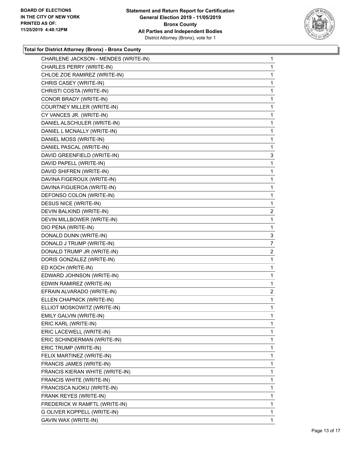

| CHARLENE JACKSON - MENDES (WRITE-IN) | $\mathbf 1$    |
|--------------------------------------|----------------|
| CHARLES PERRY (WRITE-IN)             | 1              |
| CHLOE ZOE RAMIREZ (WRITE-IN)         | 1              |
| CHRIS CASEY (WRITE-IN)               | 1              |
| CHRISTI COSTA (WRITE-IN)             | 1              |
| CONOR BRADY (WRITE-IN)               | 1              |
| COURTNEY MILLER (WRITE-IN)           | 1              |
| CY VANCES JR. (WRITE-IN)             | 1              |
| DANIEL ALSCHULER (WRITE-IN)          | 1              |
| DANIEL L MCNALLY (WRITE-IN)          | 1              |
| DANIEL MOSS (WRITE-IN)               | 1              |
| DANIEL PASCAL (WRITE-IN)             | 1              |
| DAVID GREENFIELD (WRITE-IN)          | 3              |
| DAVID PAPELL (WRITE-IN)              | 1              |
| DAVID SHIFREN (WRITE-IN)             | 1              |
| DAVINA FIGEROUX (WRITE-IN)           | 1              |
| DAVINA FIGUEROA (WRITE-IN)           | 1              |
| DEFONSO COLON (WRITE-IN)             | 1              |
| DESUS NICE (WRITE-IN)                | 1              |
| DEVIN BALKIND (WRITE-IN)             | 2              |
| DEVIN MILLBOWER (WRITE-IN)           | 1              |
| DIO PENA (WRITE-IN)                  | 1              |
| DONALD DUNN (WRITE-IN)               | 3              |
| DONALD J TRUMP (WRITE-IN)            | 7              |
| DONALD TRUMP JR (WRITE-IN)           | $\overline{c}$ |
| DORIS GONZALEZ (WRITE-IN)            | 1              |
| ED KOCH (WRITE-IN)                   | 1              |
| EDWARD JOHNSON (WRITE-IN)            | 1              |
| EDWIN RAMIREZ (WRITE-IN)             | 1              |
| EFRAIN ALVARADO (WRITE-IN)           | 2              |
| ELLEN CHAPNICK (WRITE-IN)            | 1              |
| ELLIOT MOSKOWITZ (WRITE-IN)          | 1              |
| EMILY GALVIN (WRITE-IN)              | 1              |
| ERIC KARL (WRITE-IN)                 | 1              |
| ERIC LACEWELL (WRITE-IN)             | 1              |
| ERIC SCHINDERMAN (WRITE-IN)          | 1              |
| ERIC TRUMP (WRITE-IN)                | 1              |
| FELIX MARTINEZ (WRITE-IN)            | 1              |
| FRANCIS JAMES (WRITE-IN)             | 1              |
| FRANCIS KIERAN WHITE (WRITE-IN)      | 1              |
| FRANCIS WHITE (WRITE-IN)             | 1              |
| FRANCISCA NJOKU (WRITE-IN)           | 1              |
| FRANK REYES (WRITE-IN)               | 1              |
| FREDERICK W RAMFTL (WRITE-IN)        | 1              |
| G OLIVER KOPPELL (WRITE-IN)          | 1              |
| GAVIN WAX (WRITE-IN)                 | 1              |
|                                      |                |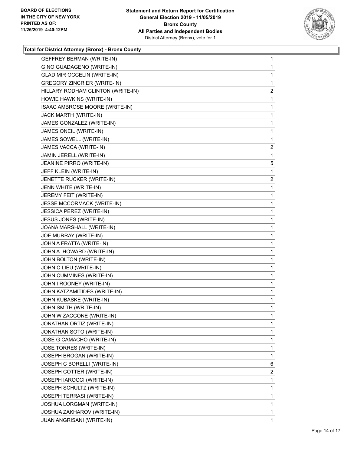

| GEFFREY BERMAN (WRITE-IN)          | 1              |
|------------------------------------|----------------|
| GINO GUADAGENO (WRITE-IN)          | $\mathbf{1}$   |
| <b>GLADIMIR OCCELIN (WRITE-IN)</b> | 1              |
| <b>GREGORY ZINCRIER (WRITE-IN)</b> | 1              |
| HILLARY RODHAM CLINTON (WRITE-IN)  | $\overline{2}$ |
| HOWIE HAWKINS (WRITE-IN)           | $\mathbf{1}$   |
| ISAAC AMBROSE MOORE (WRITE-IN)     | 1              |
| JACK MARTH (WRITE-IN)              | $\mathbf{1}$   |
| JAMES GONZALEZ (WRITE-IN)          | $\mathbf{1}$   |
| JAMES ONEIL (WRITE-IN)             | 1              |
| JAMES SOWELL (WRITE-IN)            | 1              |
| JAMES VACCA (WRITE-IN)             | $\overline{2}$ |
| JAMIN JERELL (WRITE-IN)            | 1              |
| JEANINE PIRRO (WRITE-IN)           | 5              |
| JEFF KLEIN (WRITE-IN)              | 1              |
| JENETTE RUCKER (WRITE-IN)          | 2              |
| JENN WHITE (WRITE-IN)              | 1              |
| JEREMY FEIT (WRITE-IN)             | $\mathbf{1}$   |
| JESSE MCCORMACK (WRITE-IN)         | 1              |
| JESSICA PEREZ (WRITE-IN)           | $\mathbf{1}$   |
| JESUS JONES (WRITE-IN)             | 1              |
| JOANA MARSHALL (WRITE-IN)          | 1              |
| JOE MURRAY (WRITE-IN)              | 1              |
| JOHN A FRATTA (WRITE-IN)           | $\mathbf{1}$   |
| JOHN A. HOWARD (WRITE-IN)          | 1              |
| JOHN BOLTON (WRITE-IN)             | $\mathbf{1}$   |
| JOHN C LIEU (WRITE-IN)             | 1              |
| JOHN CUMMINES (WRITE-IN)           | 1              |
| JOHN I ROONEY (WRITE-IN)           | 1              |
| JOHN KATZAMITIDES (WRITE-IN)       | $\mathbf{1}$   |
| JOHN KUBASKE (WRITE-IN)            | 1              |
| JOHN SMITH (WRITE-IN)              | $\mathbf{1}$   |
| JOHN W ZACCONE (WRITE-IN)          | 1              |
| JONATHAN ORTIZ (WRITE-IN)          | 1              |
| JONATHAN SOTO (WRITE-IN)           | $\mathbf{1}$   |
| JOSE G CAMACHO (WRITE-IN)          | $\mathbf{1}$   |
| JOSE TORRES (WRITE-IN)             | 1              |
| JOSEPH BROGAN (WRITE-IN)           | $\mathbf{1}$   |
| JOSEPH C BORELLI (WRITE-IN)        | 6              |
| JOSEPH COTTER (WRITE-IN)           | $\mathbf{2}$   |
| JOSEPH IAROCCI (WRITE-IN)          | $\mathbf{1}$   |
| JOSEPH SCHULTZ (WRITE-IN)          | 1              |
| JOSEPH TERRASI (WRITE-IN)          | 1              |
| JOSHUA LORGMAN (WRITE-IN)          | $\mathbf{1}$   |
| JOSHUA ZAKHAROV (WRITE-IN)         | $\mathbf{1}$   |
| JUAN ANGRISANI (WRITE-IN)          | 1              |
|                                    |                |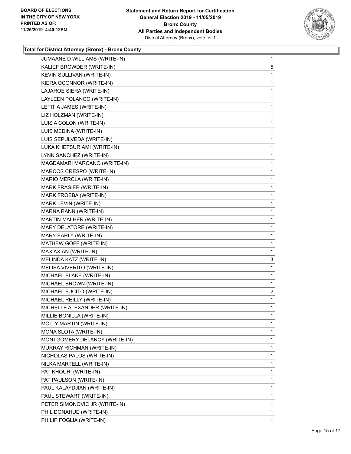

| JUMAANE D WILLIAMS (WRITE-IN) | $\mathbf{1}$ |
|-------------------------------|--------------|
| KALIEF BROWDER (WRITE-IN)     | 5            |
| KEVIN SULLIVAN (WRITE-IN)     | 1            |
| KIERA OCONNOR (WRITE-IN)      | 1            |
| LAJAROE SIERA (WRITE-IN)      | 1            |
| LAYLEEN POLANCO (WRITE-IN)    | 1            |
| LETITIA JAMES (WRITE-IN)      | 1            |
| LIZ HOLZMAN (WRITE-IN)        | 1            |
| LUIS A COLON (WRITE-IN)       | 1            |
| LUIS MEDINA (WRITE-IN)        | 1            |
| LUIS SEPULVEDA (WRITE-IN)     | 1            |
| LUKA KHETSURIAMI (WRITE-IN)   | 1            |
| LYNN SANCHEZ (WRITE-IN)       | 1            |
| MAGDAMARI MARCANO (WRITE-IN)  | 1            |
| MARCOS CRESPO (WRITE-IN)      | 1            |
| MARIO MERCLA (WRITE-IN)       | 1            |
| MARK FRASIER (WRITE-IN)       | 1            |
| MARK FROEBA (WRITE-IN)        | 1            |
| MARK LEVIN (WRITE-IN)         | 1            |
| MARNA RANN (WRITE-IN)         | 1            |
| MARTIN MALHER (WRITE-IN)      | 1            |
| MARY DELATORE (WRITE-IN)      | 1            |
| MARY EARLY (WRITE-IN)         | 1            |
| MATHEW GOFF (WRITE-IN)        | 1            |
| MAX AXIAN (WRITE-IN)          | $\mathbf{1}$ |
| MELINDA KATZ (WRITE-IN)       | 3            |
| MELISA VIVERITO (WRITE-IN)    | 1            |
| MICHAEL BLAKE (WRITE-IN)      | 1            |
| MICHAEL BROWN (WRITE-IN)      | 1            |
| MICHAEL FUCITO (WRITE-IN)     | 2            |
| MICHAEL REILLY (WRITE-IN)     | $\mathbf{1}$ |
| MICHELLE ALEXANDER (WRITE-IN) | 1            |
| MILLIE BONILLA (WRITE-IN)     | 1            |
| MOLLY MARTIN (WRITE-IN)       | 1            |
| MONA SLOTA (WRITE-IN)         | 1            |
| MONTGOMERY DELANCY (WRITE-IN) | 1            |
| MURRAY RICHMAN (WRITE-IN)     | 1            |
| NICHOLAS PALOS (WRITE-IN)     | 1            |
| NILKA MARTELL (WRITE-IN)      | 1            |
| PAT KHOURI (WRITE-IN)         | 1            |
| PAT PAULSON (WRITE-IN)        | 1            |
| PAUL KALAYDJIAN (WRITE-IN)    | 1            |
| PAUL STEWART (WRITE-IN)       | 1            |
| PETER SIMONOVIC JR (WRITE-IN) | 1            |
| PHIL DONAHUE (WRITE-IN)       | 1            |
| PHILIP FOGLIA (WRITE-IN)      | 1            |
|                               |              |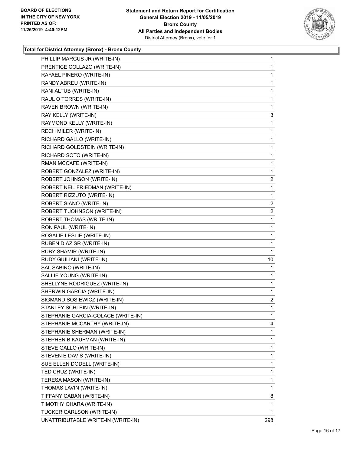

| PHILLIP MARCUS JR (WRITE-IN)       | 1              |
|------------------------------------|----------------|
| PRENTICE COLLAZO (WRITE-IN)        | 1              |
| RAFAEL PINERO (WRITE-IN)           | 1              |
| RANDY ABREU (WRITE-IN)             | 1              |
| RANI ALTUB (WRITE-IN)              | 1              |
| RAUL O TORRES (WRITE-IN)           | 1              |
| RAVEN BROWN (WRITE-IN)             | 1              |
| RAY KELLY (WRITE-IN)               | 3              |
| RAYMOND KELLY (WRITE-IN)           | 1              |
| RECH MILER (WRITE-IN)              | 1              |
| RICHARD GALLO (WRITE-IN)           | 1              |
| RICHARD GOLDSTEIN (WRITE-IN)       | 1              |
| RICHARD SOTO (WRITE-IN)            | 1              |
| RMAN MCCAFE (WRITE-IN)             | 1              |
| ROBERT GONZALEZ (WRITE-IN)         | 1              |
| ROBERT JOHNSON (WRITE-IN)          | 2              |
| ROBERT NEIL FRIEDMAN (WRITE-IN)    | 1              |
| ROBERT RIZZUTO (WRITE-IN)          | 1              |
| ROBERT SIANO (WRITE-IN)            | 2              |
| ROBERT T JOHNSON (WRITE-IN)        | $\overline{2}$ |
| ROBERT THOMAS (WRITE-IN)           | 1              |
| RON PAUL (WRITE-IN)                | 1              |
| ROSALIE LESLIE (WRITE-IN)          | 1              |
| RUBEN DIAZ SR (WRITE-IN)           | 1              |
| RUBY SHAMIR (WRITE-IN)             | 1              |
| RUDY GIULIANI (WRITE-IN)           | 10             |
| SAL SABINO (WRITE-IN)              | 1              |
| SALLIE YOUNG (WRITE-IN)            | 1              |
| SHELLYNE RODRIGUEZ (WRITE-IN)      | 1              |
| SHERWIN GARCIA (WRITE-IN)          | 1              |
| SIGMAND SOSIEWICZ (WRITE-IN)       | 2              |
| STANLEY SCHLEIN (WRITE-IN)         | 1              |
| STEPHANIE GARCIA-COLACE (WRITE-IN) | 1              |
| STEPHANIE MCCARTHY (WRITE-IN)      | 4              |
| STEPHANIE SHERMAN (WRITE-IN)       | 1              |
| STEPHEN B KAUFMAN (WRITE-IN)       | 1              |
| STEVE GALLO (WRITE-IN)             | 1              |
| STEVEN E DAVIS (WRITE-IN)          | 1              |
| SUE ELLEN DODELL (WRITE-IN)        | 1              |
| TED CRUZ (WRITE-IN)                | 1              |
| TERESA MASON (WRITE-IN)            | 1              |
| THOMAS LAVIN (WRITE-IN)            | 1              |
| TIFFANY CABAN (WRITE-IN)           | 8              |
| TIMOTHY OHARA (WRITE-IN)           | 1              |
| TUCKER CARLSON (WRITE-IN)          | 1              |
| UNATTRIBUTABLE WRITE-IN (WRITE-IN) | 298            |
|                                    |                |